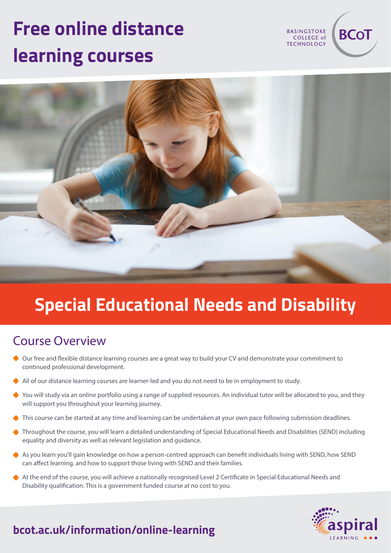# **Free online distance learning courses**

**BASINGSTOKE** COLLEGE of **TECHNOLOGY** 

**BCo1** 



## **Special Educational Needs and Disability**

#### Course Overview

- Our free and flexible distance learning courses are a great way to build your CV and demonstrate your commitment to continued professional development.
- All of our distance learning courses are learner-led and you do not need to be in employment to study.
- ◆ You will study via an online portfolio using a range of supplied resources. An individual tutor will be allocated to you, and they will support you throughout your learning journey.
- This course can be started at any time and learning can be undertaken at your own pace following submission deadlines.
- Throughout the course, you will learn a detailed understanding of Special Educational Needs and Disabilities (SEND) including equality and diversity as well as relevant legislation and guidance.
- As you learn you'll gain knowledge on how a person-centred approach can benefit individuals living with SEND, how SEND can affect learning, and how to support those living with SEND and their families.
- At the end of the course, you will achieve a nationally recognised Level 2 Certificate in Special Educational Needs and Disability qualification. This is a government funded course at no cost to you.



## **bcot.ac.uk/information/online-learning**